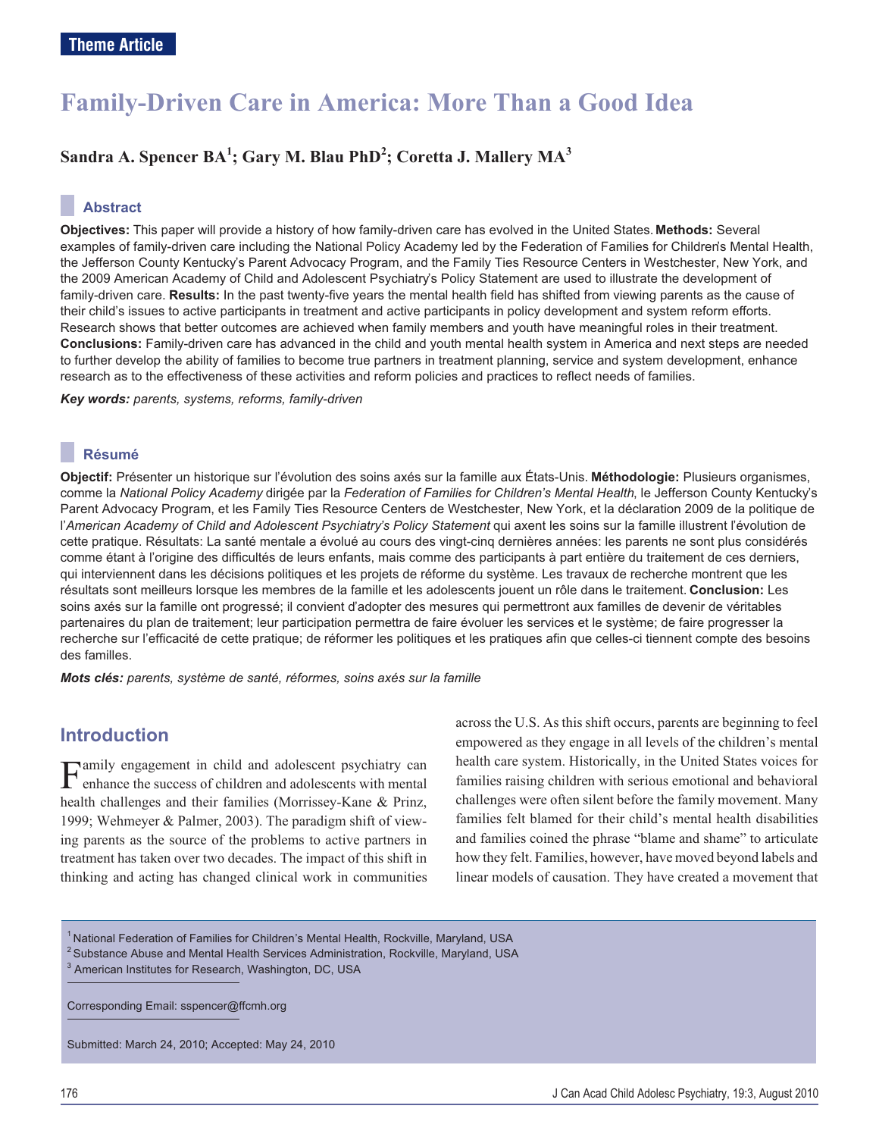# **Family-Driven Care in America: More Than a Good Idea**

### **Sandra A. Spencer BA1 ; Gary M. Blau PhD<sup>2</sup> ; Coretta J. Mallery MA<sup>3</sup>**

#### **Abstract**

**Objectives:** This paper will provide a history of how family-driven care has evolved in the United States. **Methods:** Several examples of family-driven care including the National Policy Academy led by the Federation of Families for Children's Mental Health, the Jefferson County Kentucky's Parent Advocacy Program, and the Family Ties Resource Centers in Westchester, New York, and the 2009 American Academy of Child and Adolescent Psychiatry's Policy Statement are used to illustrate the development of family-driven care. **Results:** In the past twenty-five years the mental health field has shifted from viewing parents as the cause of their child's issues to active participants in treatment and active participants in policy development and system reform efforts. Research shows that better outcomes are achieved when family members and youth have meaningful roles in their treatment. **Conclusions:** Family-driven care has advanced in the child and youth mental health system in America and next steps are needed to further develop the ability of families to become true partners in treatment planning, service and system development, enhance research as to the effectiveness of these activities and reform policies and practices to reflect needs of families.

*Key words: parents, systems, reforms, family-driven*

#### **Résumé**

**Objectif:** Présenter un historique sur l'évolution des soins axés sur la famille aux États-Unis. **Méthodologie:** Plusieurs organismes, comme la *National Policy Academy* dirigée par la *Federation of Families for Children's Mental Health*, le Jefferson County Kentucky's Parent Advocacy Program, et les Family Ties Resource Centers de Westchester, New York, et la déclaration 2009 de la politique de l'*American Academy of Child and Adolescent Psychiatry's Policy Statement* qui axent les soins sur la famille illustrent l'évolution de cette pratique. Résultats: La santé mentale a évolué au cours des vingt-cinq dernières années: les parents ne sont plus considérés comme étant à l'origine des difficultés de leurs enfants, mais comme des participants à part entière du traitement de ces derniers, qui interviennent dans les décisions politiques et les projets de réforme du système. Les travaux de recherche montrent que les résultats sont meilleurs lorsque les membres de la famille et les adolescents jouent un rôle dans le traitement. **Conclusion:** Les soins axés sur la famille ont progressé; il convient d'adopter des mesures qui permettront aux familles de devenir de véritables partenaires du plan de traitement; leur participation permettra de faire évoluer les services et le système; de faire progresser la recherche sur l'efficacité de cette pratique; de réformer les politiques et les pratiques afin que celles-ci tiennent compte des besoins des familles.

*Mots clés: parents, système de santé, réformes, soins axés sur la famille*

### **Introduction**

Family engagement in child and adolescent psychiatry can enhance the success of children and adolescents with mental health challenges and their families (Morrissey-Kane & Prinz, 1999; Wehmeyer & Palmer, 2003). The paradigm shift of viewing parents as the source of the problems to active partners in treatment has taken over two decades. The impact of this shift in thinking and acting has changed clinical work in communities across the U.S. As this shift occurs, parents are beginning to feel empowered as they engage in all levels of the children's mental health care system. Historically, in the United States voices for families raising children with serious emotional and behavioral challenges were often silent before the family movement. Many families felt blamed for their child's mental health disabilities and families coined the phrase "blame and shame" to articulate how they felt. Families, however, have moved beyond labels and linear models of causation. They have created a movement that

<sup>1</sup> National Federation of Families for Children's Mental Health, Rockville, Maryland, USA  $2$  Substance Abuse and Mental Health Services Administration, Rockville, Maryland, USA

<sup>3</sup> American Institutes for Research, Washington, DC, USA

Corresponding Email: sspencer@ffcmh.org

Submitted: March 24, 2010; Accepted: May 24, 2010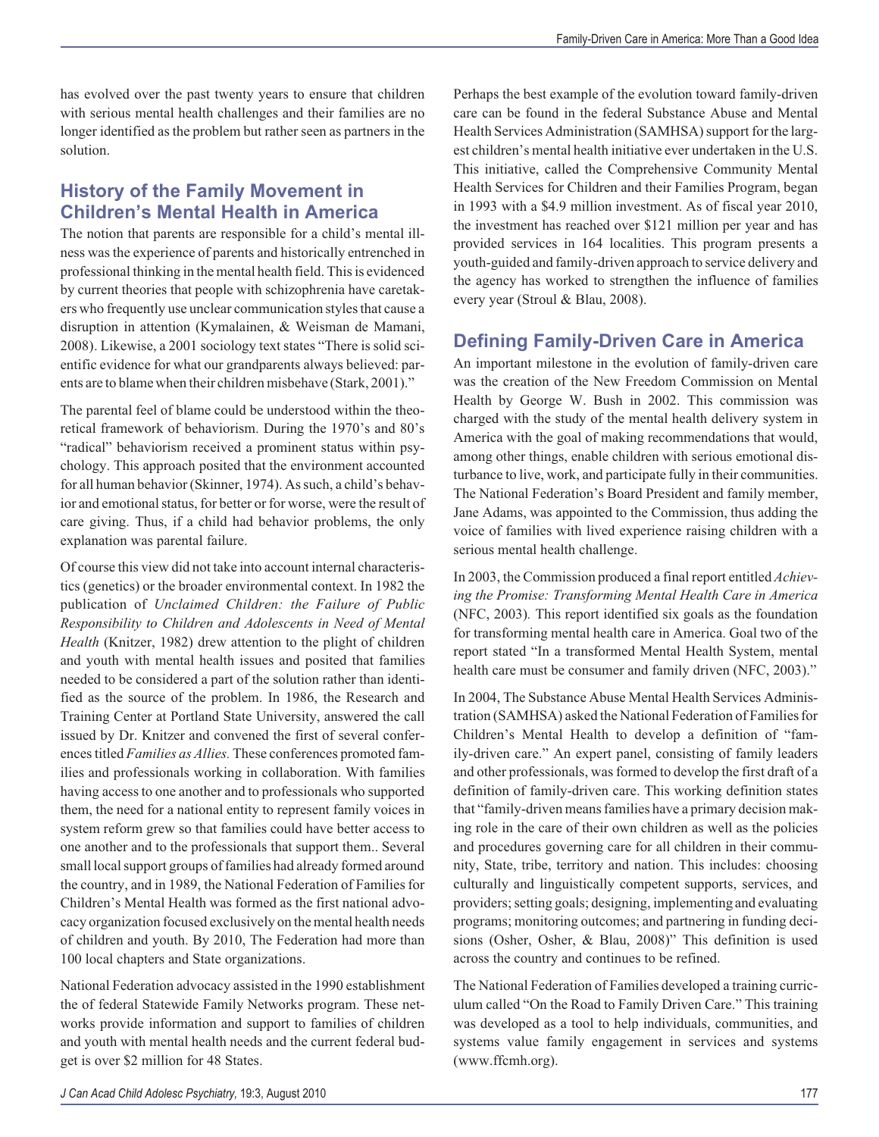has evolved over the past twenty years to ensure that children with serious mental health challenges and their families are no longer identified as the problem but rather seen as partners in the solution.

# **History of the Family Movement in Children's Mental Health in America**

The notion that parents are responsible for a child's mental illness was the experience of parents and historically entrenched in professional thinking in the mental health field. This is evidenced by current theories that people with schizophrenia have caretakers who frequently use unclear communication styles that cause a disruption in attention (Kymalainen, & Weisman de Mamani, 2008). Likewise, a 2001 sociology text states "There is solid scientific evidence for what our grandparents always believed: parents are to blame when their children misbehave (Stark, 2001)."

The parental feel of blame could be understood within the theoretical framework of behaviorism. During the 1970's and 80's "radical" behaviorism received a prominent status within psychology. This approach posited that the environment accounted for all human behavior (Skinner, 1974). As such, a child's behavior and emotional status, for better or for worse, were the result of care giving. Thus, if a child had behavior problems, the only explanation was parental failure.

Of course this view did not take into account internal characteristics (genetics) or the broader environmental context. In 1982 the publication of *Unclaimed Children: the Failure of Public Responsibility to Children and Adolescents in Need of Mental Health* (Knitzer, 1982) drew attention to the plight of children and youth with mental health issues and posited that families needed to be considered a part of the solution rather than identified as the source of the problem. In 1986, the Research and Training Center at Portland State University, answered the call issued by Dr. Knitzer and convened the first of several conferences titled *Families as Allies.* These conferences promoted families and professionals working in collaboration. With families having access to one another and to professionals who supported them, the need for a national entity to represent family voices in system reform grew so that families could have better access to one another and to the professionals that support them.. Several small local support groups of families had already formed around the country, and in 1989, the National Federation of Families for Children's Mental Health was formed as the first national advocacy organization focused exclusively on the mental health needs of children and youth. By 2010, The Federation had more than 100 local chapters and State organizations.

National Federation advocacy assisted in the 1990 establishment the of federal Statewide Family Networks program. These networks provide information and support to families of children and youth with mental health needs and the current federal budget is over \$2 million for 48 States.

Perhaps the best example of the evolution toward family-driven care can be found in the federal Substance Abuse and Mental Health Services Administration (SAMHSA) support for the largest children's mental health initiative ever undertaken in the U.S. This initiative, called the Comprehensive Community Mental Health Services for Children and their Families Program, began in 1993 with a \$4.9 million investment. As of fiscal year 2010, the investment has reached over \$121 million per year and has provided services in 164 localities. This program presents a youth-guided and family-driven approach to service delivery and the agency has worked to strengthen the influence of families every year (Stroul & Blau, 2008).

### **Defining Family-Driven Care in America**

An important milestone in the evolution of family-driven care was the creation of the New Freedom Commission on Mental Health by George W. Bush in 2002. This commission was charged with the study of the mental health delivery system in America with the goal of making recommendations that would, among other things, enable children with serious emotional disturbance to live, work, and participate fully in their communities. The National Federation's Board President and family member, Jane Adams, was appointed to the Commission, thus adding the voice of families with lived experience raising children with a serious mental health challenge.

In 2003, the Commission produced a final report entitled *Achieving the Promise: Transforming Mental Health Care in America* (NFC, 2003)*.* This report identified six goals as the foundation for transforming mental health care in America. Goal two of the report stated "In a transformed Mental Health System, mental health care must be consumer and family driven (NFC, 2003)."

In 2004, The Substance Abuse Mental Health Services Administration (SAMHSA) asked the National Federation of Families for Children's Mental Health to develop a definition of "family-driven care." An expert panel, consisting of family leaders and other professionals, was formed to develop the first draft of a definition of family-driven care. This working definition states that "family-driven means families have a primary decision making role in the care of their own children as well as the policies and procedures governing care for all children in their community, State, tribe, territory and nation. This includes: choosing culturally and linguistically competent supports, services, and providers; setting goals; designing, implementing and evaluating programs; monitoring outcomes; and partnering in funding decisions (Osher, Osher, & Blau, 2008)" This definition is used across the country and continues to be refined.

The National Federation of Families developed a training curriculum called "On the Road to Family Driven Care." This training was developed as a tool to help individuals, communities, and systems value family engagement in services and systems (www.ffcmh.org).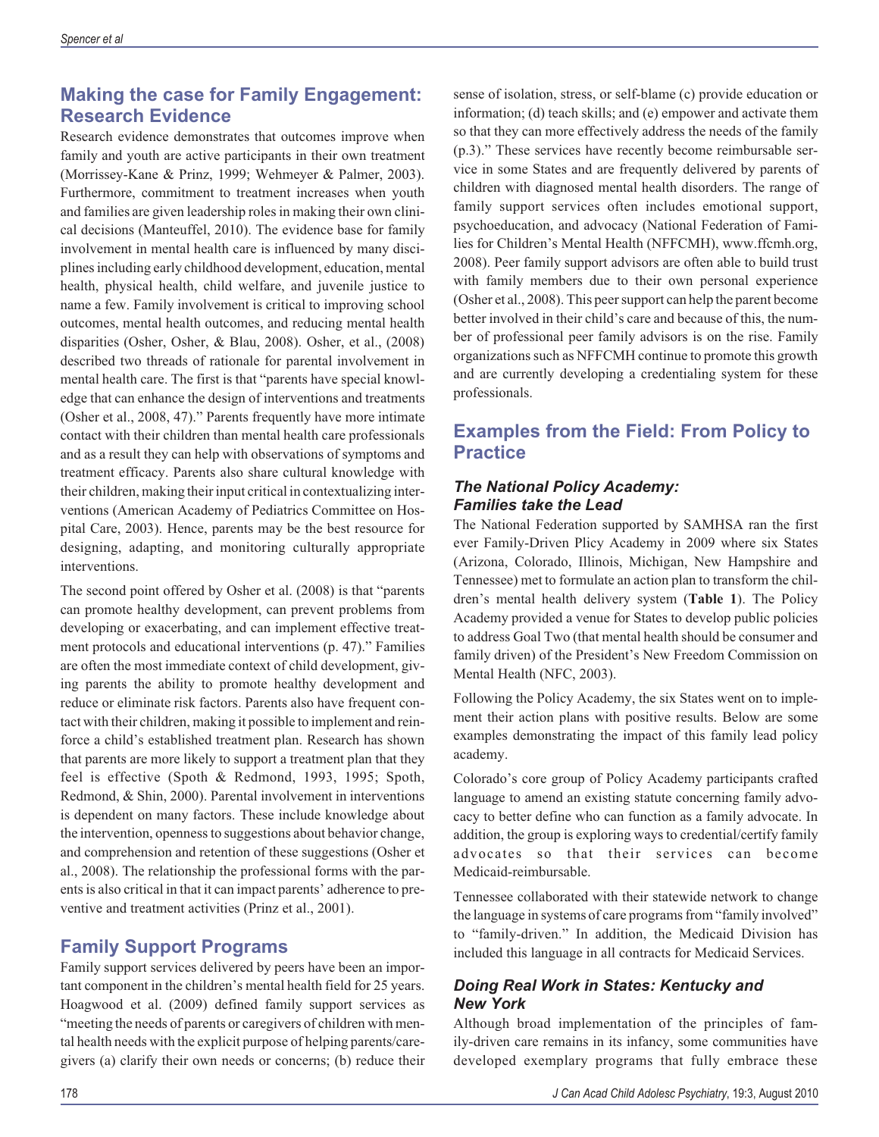### **Making the case for Family Engagement: Research Evidence**

Research evidence demonstrates that outcomes improve when family and youth are active participants in their own treatment (Morrissey-Kane & Prinz, 1999; Wehmeyer & Palmer, 2003). Furthermore, commitment to treatment increases when youth and families are given leadership roles in making their own clinical decisions (Manteuffel, 2010). The evidence base for family involvement in mental health care is influenced by many disciplines including early childhood development, education, mental health, physical health, child welfare, and juvenile justice to name a few. Family involvement is critical to improving school outcomes, mental health outcomes, and reducing mental health disparities (Osher, Osher, & Blau, 2008). Osher, et al., (2008) described two threads of rationale for parental involvement in mental health care. The first is that "parents have special knowledge that can enhance the design of interventions and treatments (Osher et al., 2008, 47)." Parents frequently have more intimate contact with their children than mental health care professionals and as a result they can help with observations of symptoms and treatment efficacy. Parents also share cultural knowledge with their children, making their input critical in contextualizing interventions (American Academy of Pediatrics Committee on Hospital Care, 2003). Hence, parents may be the best resource for designing, adapting, and monitoring culturally appropriate interventions.

The second point offered by Osher et al. (2008) is that "parents can promote healthy development, can prevent problems from developing or exacerbating, and can implement effective treatment protocols and educational interventions (p. 47)." Families are often the most immediate context of child development, giving parents the ability to promote healthy development and reduce or eliminate risk factors. Parents also have frequent contact with their children, making it possible to implement and reinforce a child's established treatment plan. Research has shown that parents are more likely to support a treatment plan that they feel is effective (Spoth & Redmond, 1993, 1995; Spoth, Redmond, & Shin, 2000). Parental involvement in interventions is dependent on many factors. These include knowledge about the intervention, openness to suggestions about behavior change, and comprehension and retention of these suggestions (Osher et al., 2008). The relationship the professional forms with the parents is also critical in that it can impact parents' adherence to preventive and treatment activities (Prinz et al., 2001).

#### **Family Support Programs**

Family support services delivered by peers have been an important component in the children's mental health field for 25 years. Hoagwood et al. (2009) defined family support services as "meeting the needs of parents or caregivers of children with mental health needs with the explicit purpose of helping parents/caregivers (a) clarify their own needs or concerns; (b) reduce their sense of isolation, stress, or self-blame (c) provide education or information; (d) teach skills; and (e) empower and activate them so that they can more effectively address the needs of the family (p.3)." These services have recently become reimbursable service in some States and are frequently delivered by parents of children with diagnosed mental health disorders. The range of family support services often includes emotional support, psychoeducation, and advocacy (National Federation of Families for Children's Mental Health (NFFCMH), www.ffcmh.org, 2008). Peer family support advisors are often able to build trust with family members due to their own personal experience (Osher et al., 2008). This peer support can help the parent become better involved in their child's care and because of this, the number of professional peer family advisors is on the rise. Family organizations such as NFFCMH continue to promote this growth and are currently developing a credentialing system for these professionals.

## **Examples from the Field: From Policy to Practice**

#### *The National Policy Academy: Families take the Lead*

The National Federation supported by SAMHSA ran the first ever Family-Driven Plicy Academy in 2009 where six States (Arizona, Colorado, Illinois, Michigan, New Hampshire and Tennessee) met to formulate an action plan to transform the children's mental health delivery system (**Table 1**). The Policy Academy provided a venue for States to develop public policies to address Goal Two (that mental health should be consumer and family driven) of the President's New Freedom Commission on Mental Health (NFC, 2003).

Following the Policy Academy, the six States went on to implement their action plans with positive results. Below are some examples demonstrating the impact of this family lead policy academy.

Colorado's core group of Policy Academy participants crafted language to amend an existing statute concerning family advocacy to better define who can function as a family advocate. In addition, the group is exploring ways to credential/certify family advocates so that their services can become Medicaid-reimbursable.

Tennessee collaborated with their statewide network to change the language in systems of care programs from "family involved" to "family-driven." In addition, the Medicaid Division has included this language in all contracts for Medicaid Services.

#### *Doing Real Work in States: Kentucky and New York*

Although broad implementation of the principles of family-driven care remains in its infancy, some communities have developed exemplary programs that fully embrace these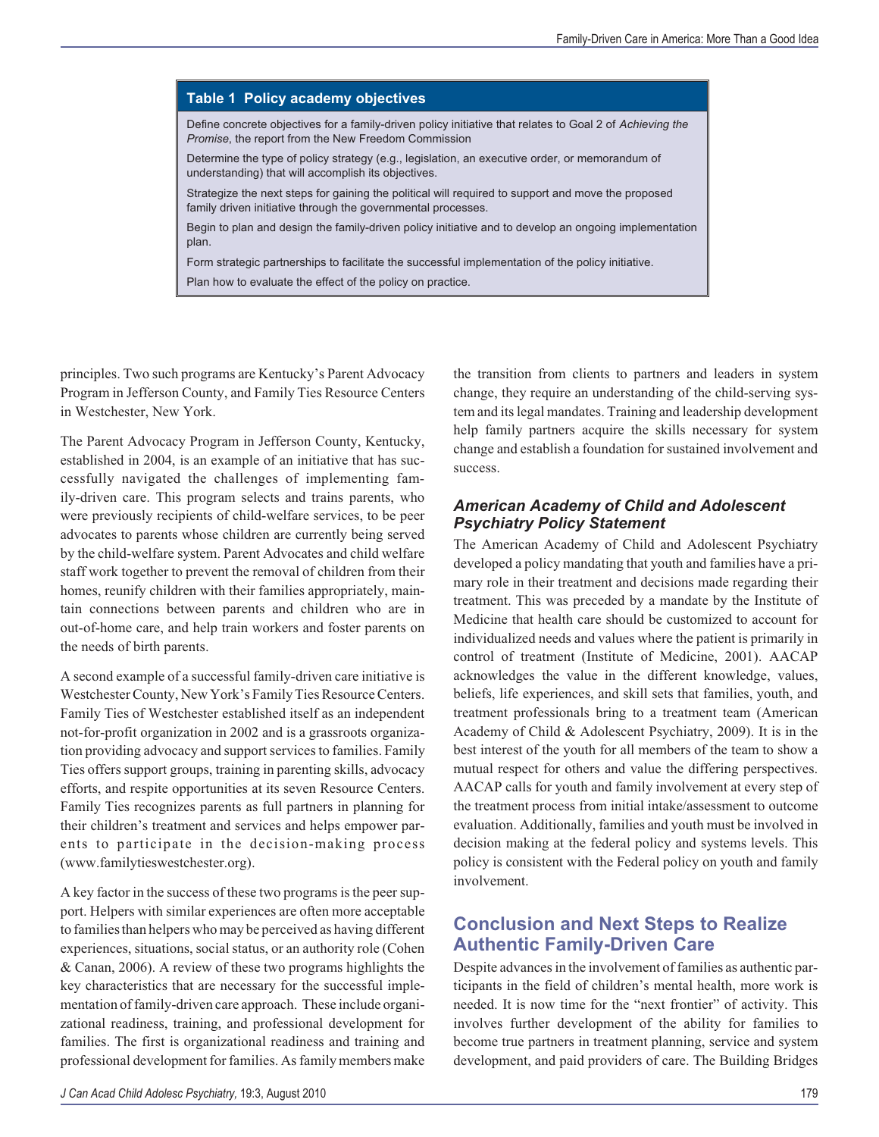#### **Table 1 Policy academy objectives**

Define concrete objectives for a family-driven policy initiative that relates to Goal 2 of *Achieving the Promise*, the report from the New Freedom Commission

Determine the type of policy strategy (e.g., legislation, an executive order, or memorandum of understanding) that will accomplish its objectives.

Strategize the next steps for gaining the political will required to support and move the proposed family driven initiative through the governmental processes.

Begin to plan and design the family-driven policy initiative and to develop an ongoing implementation plan.

Form strategic partnerships to facilitate the successful implementation of the policy initiative.

Plan how to evaluate the effect of the policy on practice.

principles. Two such programs are Kentucky's Parent Advocacy Program in Jefferson County, and Family Ties Resource Centers in Westchester, New York.

The Parent Advocacy Program in Jefferson County, Kentucky, established in 2004, is an example of an initiative that has successfully navigated the challenges of implementing family-driven care. This program selects and trains parents, who were previously recipients of child-welfare services, to be peer advocates to parents whose children are currently being served by the child-welfare system. Parent Advocates and child welfare staff work together to prevent the removal of children from their homes, reunify children with their families appropriately, maintain connections between parents and children who are in out-of-home care, and help train workers and foster parents on the needs of birth parents.

A second example of a successful family-driven care initiative is Westchester County, New York's Family Ties Resource Centers. Family Ties of Westchester established itself as an independent not-for-profit organization in 2002 and is a grassroots organization providing advocacy and support services to families. Family Ties offers support groups, training in parenting skills, advocacy efforts, and respite opportunities at its seven Resource Centers. Family Ties recognizes parents as full partners in planning for their children's treatment and services and helps empower parents to participate in the decision-making process (www.familytieswestchester.org).

A key factor in the success of these two programs is the peer support. Helpers with similar experiences are often more acceptable to familiesthan helpers who may be perceived as having different experiences, situations, social status, or an authority role (Cohen & Canan, 2006). A review of these two programs highlights the key characteristics that are necessary for the successful implementation of family-driven care approach. These include organizational readiness, training, and professional development for families. The first is organizational readiness and training and professional development for families. As family members make

the transition from clients to partners and leaders in system change, they require an understanding of the child-serving system and its legal mandates. Training and leadership development help family partners acquire the skills necessary for system change and establish a foundation for sustained involvement and success.

#### *American Academy of Child and Adolescent Psychiatry Policy Statement*

The American Academy of Child and Adolescent Psychiatry developed a policy mandating that youth and families have a primary role in their treatment and decisions made regarding their treatment. This was preceded by a mandate by the Institute of Medicine that health care should be customized to account for individualized needs and values where the patient is primarily in control of treatment (Institute of Medicine, 2001). AACAP acknowledges the value in the different knowledge, values, beliefs, life experiences, and skill sets that families, youth, and treatment professionals bring to a treatment team (American Academy of Child & Adolescent Psychiatry, 2009). It is in the best interest of the youth for all members of the team to show a mutual respect for others and value the differing perspectives. AACAP calls for youth and family involvement at every step of the treatment process from initial intake/assessment to outcome evaluation. Additionally, families and youth must be involved in decision making at the federal policy and systems levels. This policy is consistent with the Federal policy on youth and family involvement.

#### **Conclusion and Next Steps to Realize Authentic Family-Driven Care**

Despite advances in the involvement of families as authentic participants in the field of children's mental health, more work is needed. It is now time for the "next frontier" of activity. This involves further development of the ability for families to become true partners in treatment planning, service and system development, and paid providers of care. The Building Bridges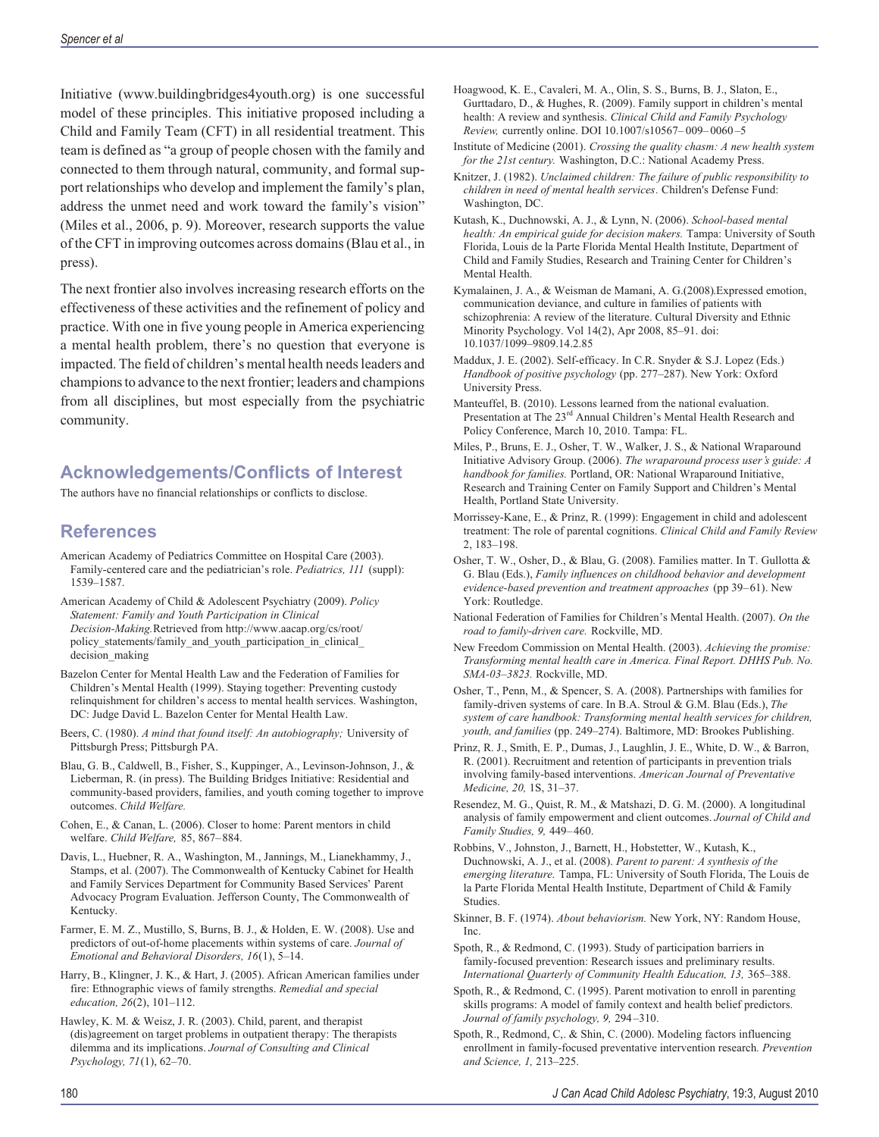Initiative (www.buildingbridges4youth.org) is one successful model of these principles. This initiative proposed including a Child and Family Team (CFT) in all residential treatment. This team is defined as "a group of people chosen with the family and connected to them through natural, community, and formal support relationships who develop and implement the family's plan, address the unmet need and work toward the family's vision" (Miles et al., 2006, p. 9). Moreover, research supports the value of the CFT in improving outcomes across domains (Blau et al., in press).

The next frontier also involves increasing research efforts on the effectiveness of these activities and the refinement of policy and practice. With one in five young people in America experiencing a mental health problem, there's no question that everyone is impacted. The field of children's mental health needs leaders and champions to advance to the next frontier; leaders and champions from all disciplines, but most especially from the psychiatric community.

### **Acknowledgements/Conflicts of Interest**

The authors have no financial relationships or conflicts to disclose.

#### **References**

- American Academy of Pediatrics Committee on Hospital Care (2003). Family-centered care and the pediatrician's role. *Pediatrics, 111* (suppl): 1539–1587.
- American Academy of Child & Adolescent Psychiatry (2009). *Policy Statement: Family and Youth Participation in Clinical Decision-Making.*Retrieved from http://www.aacap.org/cs/root/ policy\_statements/family\_and\_youth\_participation\_in\_clinical\_ decision\_making
- Bazelon Center for Mental Health Law and the Federation of Families for Children's Mental Health (1999). Staying together: Preventing custody relinquishment for children's access to mental health services. Washington, DC: Judge David L. Bazelon Center for Mental Health Law.
- Beers, C. (1980). *A mind that found itself: An autobiography;* University of Pittsburgh Press; Pittsburgh PA.
- Blau, G. B., Caldwell, B., Fisher, S., Kuppinger, A., Levinson-Johnson, J., & Lieberman, R. (in press). The Building Bridges Initiative: Residential and community-based providers, families, and youth coming together to improve outcomes. *Child Welfare.*
- Cohen, E., & Canan, L. (2006). Closer to home: Parent mentors in child welfare. *Child Welfare,* 85, 867–884.
- Davis, L., Huebner, R. A., Washington, M., Jannings, M., Lianekhammy, J., Stamps, et al. (2007). The Commonwealth of Kentucky Cabinet for Health and Family Services Department for Community Based Services' Parent Advocacy Program Evaluation. Jefferson County, The Commonwealth of Kentucky.
- Farmer, E. M. Z., Mustillo, S, Burns, B. J., & Holden, E. W. (2008). Use and predictors of out-of-home placements within systems of care. *Journal of Emotional and Behavioral Disorders, 16*(1), 5–14.
- Harry, B., Klingner, J. K., & Hart, J. (2005). African American families under fire: Ethnographic views of family strengths. *Remedial and special education, 26*(2), 101–112.

Hawley, K. M. & Weisz, J. R. (2003). Child, parent, and therapist (dis)agreement on target problems in outpatient therapy: The therapists dilemma and its implications. *Journal of Consulting and Clinical Psychology, 71*(1), 62–70.

- Hoagwood, K. E., Cavaleri, M. A., Olin, S. S., Burns, B. J., Slaton, E., Gurttadaro, D., & Hughes, R. (2009). Family support in children's mental health: A review and synthesis. *Clinical Child and Family Psychology Review,* currently online. DOI 10.1007/s10567– 009– 0060 –5
- Institute of Medicine (2001). *Crossing the quality chasm: A new health system for the 21st century.* Washington, D.C.: National Academy Press.
- Knitzer, J. (1982). *Unclaimed children: The failure of public responsibility to children in need of mental health services.* Children's Defense Fund: Washington, DC.
- Kutash, K., Duchnowski, A. J., & Lynn, N. (2006). *School-based mental health: An empirical guide for decision makers.* Tampa: University of South Florida, Louis de la Parte Florida Mental Health Institute, Department of Child and Family Studies, Research and Training Center for Children's Mental Health.
- Kymalainen, J. A., & Weisman de Mamani, A. G.(2008).Expressed emotion, communication deviance, and culture in families of patients with schizophrenia: A review of the literature. Cultural Diversity and Ethnic Minority Psychology. Vol 14(2), Apr 2008, 85–91. doi: 10.1037/1099–9809.14.2.85
- Maddux, J. E. (2002). Self-efficacy. In C.R. Snyder & S.J. Lopez (Eds.) *Handbook of positive psychology* (pp. 277–287). New York: Oxford University Press.
- Manteuffel, B. (2010). Lessons learned from the national evaluation. Presentation at The 23<sup>rd</sup> Annual Children's Mental Health Research and Policy Conference, March 10, 2010. Tampa: FL.
- Miles, P., Bruns, E. J., Osher, T. W., Walker, J. S., & National Wraparound Initiative Advisory Group. (2006). *The wraparound process user's guide: A handbook for families.* Portland, OR: National Wraparound Initiative, Research and Training Center on Family Support and Children's Mental Health, Portland State University.
- Morrissey-Kane, E., & Prinz, R. (1999): Engagement in child and adolescent treatment: The role of parental cognitions. *Clinical Child and Family Review* 2, 183–198.
- Osher, T. W., Osher, D., & Blau, G. (2008). Families matter. In T. Gullotta & G. Blau (Eds.), *Family influences on childhood behavior and development evidence-based prevention and treatment approaches* (pp 39–61). New York: Routledge.
- National Federation of Families for Children's Mental Health. (2007). *On the road to family-driven care.* Rockville, MD.
- New Freedom Commission on Mental Health. (2003). *Achieving the promise: Transforming mental health care in America. Final Report. DHHS Pub. No. SMA-03–3823.* Rockville, MD.
- Osher, T., Penn, M., & Spencer, S. A. (2008). Partnerships with families for family-driven systems of care. In B.A. Stroul & G.M. Blau (Eds.), *The system of care handbook: Transforming mental health services for children, youth, and families* (pp. 249–274). Baltimore, MD: Brookes Publishing.
- Prinz, R. J., Smith, E. P., Dumas, J., Laughlin, J. E., White, D. W., & Barron, R. (2001). Recruitment and retention of participants in prevention trials involving family-based interventions. *American Journal of Preventative Medicine, 20,* 1S, 31–37.
- Resendez, M. G., Quist, R. M., & Matshazi, D. G. M. (2000). A longitudinal analysis of family empowerment and client outcomes. *Journal of Child and Family Studies, 9,* 449– 460.
- Robbins, V., Johnston, J., Barnett, H., Hobstetter, W., Kutash, K., Duchnowski, A. J., et al. (2008). *Parent to parent: A synthesis of the emerging literature.* Tampa, FL: University of South Florida, The Louis de la Parte Florida Mental Health Institute, Department of Child & Family Studies.
- Skinner, B. F. (1974). *About behaviorism.* New York, NY: Random House, Inc.
- Spoth, R., & Redmond, C. (1993). Study of participation barriers in family-focused prevention: Research issues and preliminary results. *International Quarterly of Community Health Education, 13,* 365–388.
- Spoth, R., & Redmond, C. (1995). Parent motivation to enroll in parenting skills programs: A model of family context and health belief predictors. *Journal of family psychology, 9,* 294 –310.
- Spoth, R., Redmond, C,. & Shin, C. (2000). Modeling factors influencing enrollment in family-focused preventative intervention research*. Prevention and Science, 1,* 213–225.